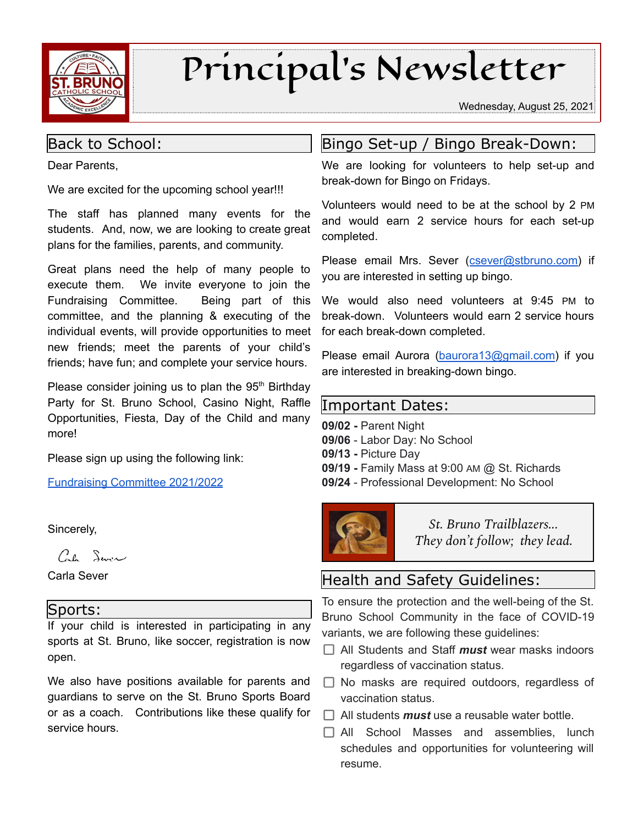

# Principal's Newsletter

Wednesday, August 25, 2021

## Back to School:

Dear Parents,

We are excited for the upcoming school year!!!

The staff has planned many events for the students. And, now, we are looking to create great plans for the families, parents, and community.

Great plans need the help of many people to execute them. We invite everyone to join the Fundraising Committee. Being part of this committee, and the planning & executing of the individual events, will provide opportunities to meet new friends; meet the parents of your child's friends; have fun; and complete your service hours.

Please consider joining us to plan the  $95<sup>th</sup>$  Birthday Party for St. Bruno School, Casino Night, Raffle Opportunities, Fiesta, Day of the Child and many more!

Please sign up using the following link:

[Fundraising](https://docs.google.com/forms/d/1RcD21f7jTootgTicIxEK-VaQoI9t7yZAXQIrtElsyus/prefill) Committee 2021/2022

Sincerely,

Cal Service

Carla Sever

## Sports:

If your child is interested in participating in any sports at St. Bruno, like soccer, registration is now open.

We also have positions available for parents and guardians to serve on the St. Bruno Sports Board or as a coach. Contributions like these qualify for service hours.

# Bingo Set-up / Bingo Break-Down:

We are looking for volunteers to help set-up and break-down for Bingo on Fridays.

Volunteers would need to be at the school by 2 PM and would earn 2 service hours for each set-up completed.

Please email Mrs. Sever ([csever@stbruno.com\)](mailto:csever@stbruno.com) if you are interested in setting up bingo.

We would also need volunteers at 9:45 PM to break-down. Volunteers would earn 2 service hours for each break-down completed.

Please email Aurora [\(baurora13@gmail.com\)](mailto:baurora13@gmail.com) if you are interested in breaking-down bingo.

## Important Dates:

**09/02 -** Parent Night **09/06** - Labor Day: No School **09/13 -** Picture Day **09/19 -** Family Mass at 9:00 AM @ St. Richards **09/24** - Professional Development: No School



*St. Bruno Trailblazers... They don't follow; they lead.*

# Health and Safety Guidelines:

To ensure the protection and the well-being of the St. Bruno School Community in the face of COVID-19 variants, we are following these guidelines:

- All Students and Staff *must* wear masks indoors regardless of vaccination status.
- $\Box$  No masks are required outdoors, regardless of vaccination status.
- $\Box$  All students *must* use a reusable water bottle.
- All School Masses and assemblies, lunch schedules and opportunities for volunteering will resume.